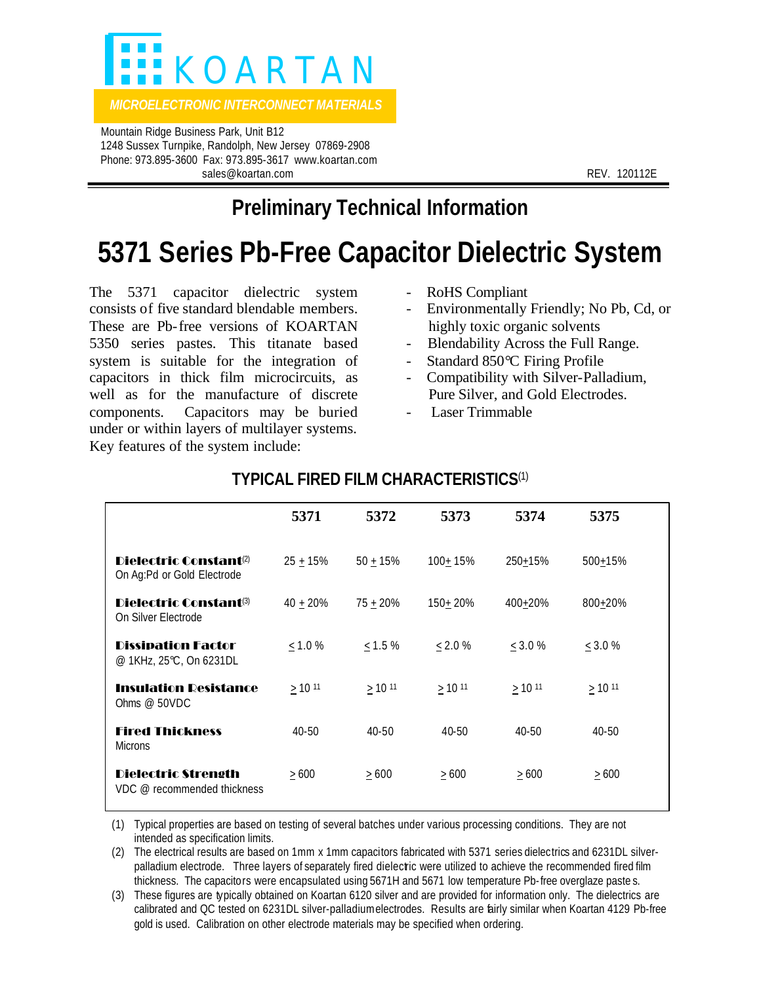

*MICROELECTRONIC INTERCONNECT MATERIALS* 

 Mountain Ridge Business Park, Unit B12 1248 Sussex Turnpike, Randolph, New Jersey 07869-2908 Phone: 973.895-3600 Fax: 973.895-3617 www.koartan.com sales@koartan.com **REV. 120112E** 

# **Preliminary Technical Information**

# **5371 Series Pb-Free Capacitor Dielectric System**

The 5371 capacitor dielectric system consists of five standard blendable members. These are Pb-free versions of KOARTAN 5350 series pastes. This titanate based system is suitable for the integration of capacitors in thick film microcircuits, as well as for the manufacture of discrete components. Capacitors may be buried under or within layers of multilayer systems. Key features of the system include:

- RoHS Compliant
- Environmentally Friendly; No Pb, Cd, or highly toxic organic solvents
- Blendability Across the Full Range.
- Standard 850℃ Firing Profile
- Compatibility with Silver-Palladium, Pure Silver, and Gold Electrodes.
- Laser Trimmable

|                                                                  | 5371          | 5372         | 5373         | 5374         | 5375         |  |
|------------------------------------------------------------------|---------------|--------------|--------------|--------------|--------------|--|
| Dielectric Constant <sup>(2)</sup><br>On Ag:Pd or Gold Electrode | $25 + 15%$    | $50 + 15%$   | $100 + 15%$  | 250+15%      | 500+15%      |  |
| Dielectric Constant®<br>On Silver Electrode                      | $40 \pm 20\%$ | $75 + 20%$   | 150+20%      | 400+20%      | 800+20%      |  |
| <b>Dissipation Factor</b><br>@ 1KHz, 25°C, On 6231DL             | < 1.0 %       | $\leq$ 1.5 % | < 2.0 %      | $<$ 3.0 %    | < 3.0 %      |  |
| <b>Insulation Resistance</b><br>Ohms $@$ 50VDC                   | $\geq$ 10 11  | $\geq$ 10 11 | $\geq$ 10 11 | $\geq$ 10 11 | $\geq$ 10 11 |  |
| <b>Fired Thickness</b><br><b>Microns</b>                         | $40 - 50$     | $40 - 50$    | $40 - 50$    | $40 - 50$    | $40 - 50$    |  |
| <b>Dielectric Strength</b><br>VDC @ recommended thickness        | >600          | >600         | >600         | $\geq 600$   | >600         |  |

## **TYPICAL FIRED FILM CHARACTERISTICS**(1)

(1) Typical properties are based on testing of several batches under various processing conditions. They are not intended as specification limits.

(2) The electrical results are based on 1mm x 1mm capacitors fabricated with 5371 series dielectrics and 6231DL silverpalladium electrode. Three layers of separately fired dielectric were utilized to achieve the recommended fired film thickness. The capacitors were encapsulated using 5671H and 5671 low temperature Pb-free overglaze paste s.

(3) These figures are typically obtained on Koartan 6120 silver and are provided for information only. The dielectrics are calibrated and QC tested on 6231DL silver-palladium electrodes. Results are fairly similar when Koartan 4129 Pb-free gold is used. Calibration on other electrode materials may be specified when ordering.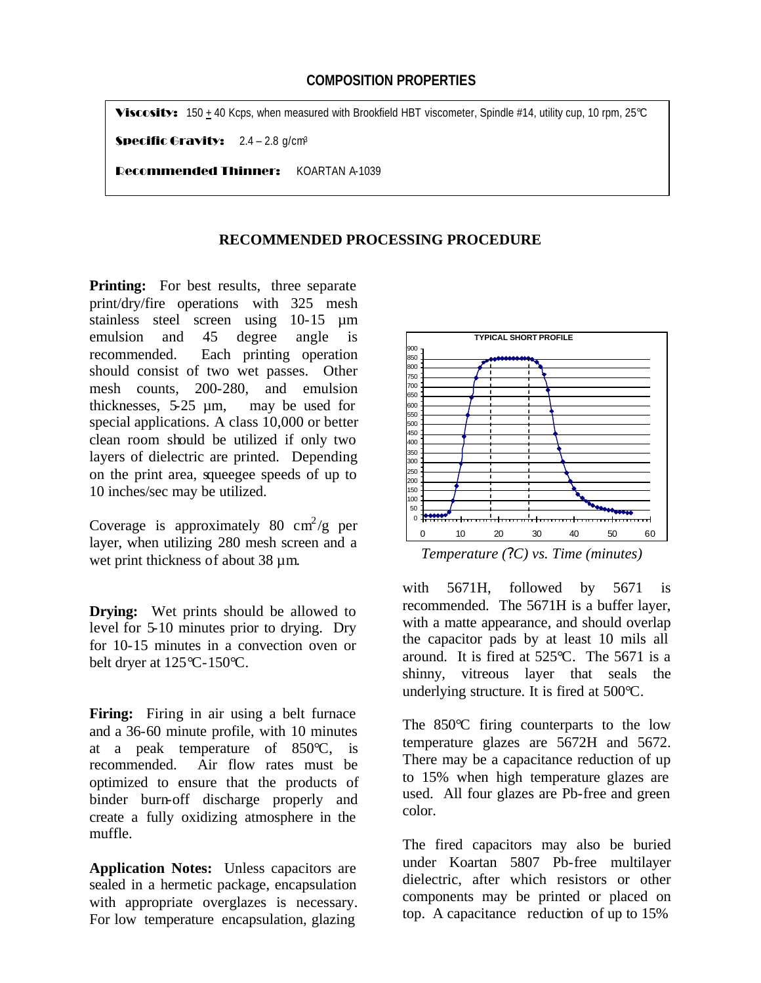### **COMPOSITION PROPERTIES**

Viscosity: 150 + 40 Kcps, when measured with Brookfield HBT viscometer, Spindle #14, utility cup, 10 rpm, 25°C

**Specific Gravity:**  $2.4 - 2.8$  g/cm<sup>3</sup>

Recommended Thinner: KOARTAN A-1039

#### **RECOMMENDED PROCESSING PROCEDURE**

**Printing:** For best results, three separate print/dry/fire operations with 325 mesh stainless steel screen using 10-15 µm emulsion and 45 degree angle is recommended. Each printing operation should consist of two wet passes. Other mesh counts, 200-280, and emulsion thicknesses, 5-25 µm, may be used for special applications. A class 10,000 or better clean room should be utilized if only two layers of dielectric are printed. Depending on the print area, squeegee speeds of up to 10 inches/sec may be utilized.

Coverage is approximately 80  $\text{cm}^2/\text{g}$  per layer, when utilizing 280 mesh screen and a wet print thickness of about 38  $\mu$ m.

**Drying:** Wet prints should be allowed to level for 5-10 minutes prior to drying. Dry for 10-15 minutes in a convection oven or belt dryer at 125°C-150°C.

**Firing:** Firing in air using a belt furnace and a 36-60 minute profile, with 10 minutes at a peak temperature of 850°C, is recommended. Air flow rates must be optimized to ensure that the products of binder burn-off discharge properly and create a fully oxidizing atmosphere in the muffle.

**Application Notes:** Unless capacitors are sealed in a hermetic package, encapsulation with appropriate overglazes is necessary. For low temperature encapsulation, glazing



 *Temperature (?C) vs. Time (minutes)*

with 5671H, followed by 5671 is recommended. The 5671H is a buffer layer, with a matte appearance, and should overlap the capacitor pads by at least 10 mils all around. It is fired at  $525^{\circ}$ C. The 5671 is a shinny, vitreous layer that seals the underlying structure. It is fired at 500°C.

The 850<sup>o</sup>C firing counterparts to the low temperature glazes are 5672H and 5672. There may be a capacitance reduction of up to 15% when high temperature glazes are used. All four glazes are Pb-free and green color.

The fired capacitors may also be buried under Koartan 5807 Pb-free multilayer dielectric, after which resistors or other components may be printed or placed on top. A capacitance reduction of up to 15%